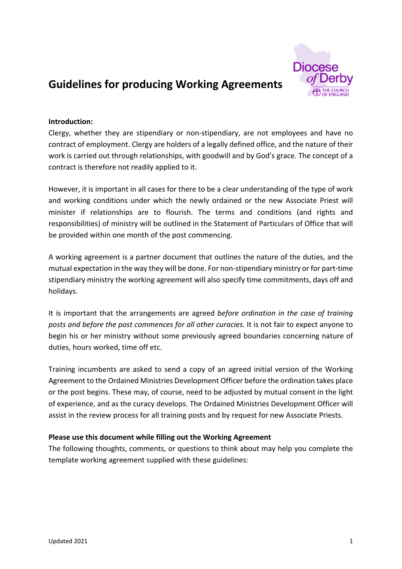

# **Guidelines for producing Working Agreements**

## **Introduction:**

Clergy, whether they are stipendiary or non-stipendiary, are not employees and have no contract of employment. Clergy are holders of a legally defined office, and the nature of their work is carried out through relationships, with goodwill and by God's grace. The concept of a contract is therefore not readily applied to it.

However, it is important in all cases for there to be a clear understanding of the type of work and working conditions under which the newly ordained or the new Associate Priest will minister if relationships are to flourish. The terms and conditions (and rights and responsibilities) of ministry will be outlined in the Statement of Particulars of Office that will be provided within one month of the post commencing.

A working agreement is a partner document that outlines the nature of the duties, and the mutual expectation in the way they will be done. For non-stipendiary ministry or for part-time stipendiary ministry the working agreement will also specify time commitments, days off and holidays.

It is important that the arrangements are agreed *before ordination in the case of training posts and before the post commences for all other curacies.* It is not fair to expect anyone to begin his or her ministry without some previously agreed boundaries concerning nature of duties, hours worked, time off etc.

Training incumbents are asked to send a copy of an agreed initial version of the Working Agreement to the Ordained Ministries Development Officer before the ordination takes place or the post begins. These may, of course, need to be adjusted by mutual consent in the light of experience, and as the curacy develops. The Ordained Ministries Development Officer will assist in the review process for all training posts and by request for new Associate Priests.

# **Please use this document while filling out the Working Agreement**

The following thoughts, comments, or questions to think about may help you complete the template working agreement supplied with these guidelines: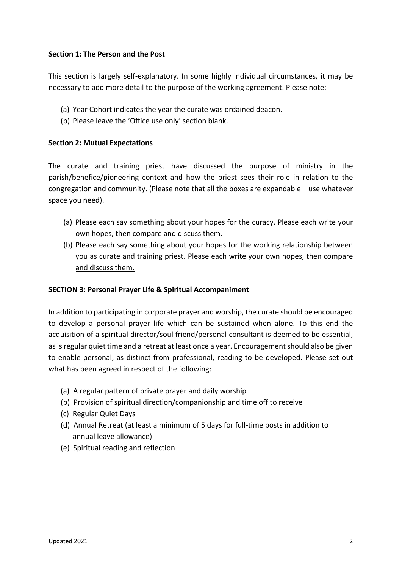# **Section 1: The Person and the Post**

This section is largely self-explanatory. In some highly individual circumstances, it may be necessary to add more detail to the purpose of the working agreement. Please note:

- (a) Year Cohort indicates the year the curate was ordained deacon.
- (b) Please leave the 'Office use only' section blank.

## **Section 2: Mutual Expectations**

The curate and training priest have discussed the purpose of ministry in the parish/benefice/pioneering context and how the priest sees their role in relation to the congregation and community. (Please note that all the boxes are expandable – use whatever space you need).

- (a) Please each say something about your hopes for the curacy. Please each write your own hopes, then compare and discuss them.
- (b) Please each say something about your hopes for the working relationship between you as curate and training priest. Please each write your own hopes, then compare and discuss them.

## **SECTION 3: Personal Prayer Life & Spiritual Accompaniment**

In addition to participating in corporate prayer and worship, the curate should be encouraged to develop a personal prayer life which can be sustained when alone. To this end the acquisition of a spiritual director/soul friend/personal consultant is deemed to be essential, as is regular quiet time and a retreat at least once a year. Encouragement should also be given to enable personal, as distinct from professional, reading to be developed. Please set out what has been agreed in respect of the following:

- (a) A regular pattern of private prayer and daily worship
- (b) Provision of spiritual direction/companionship and time off to receive
- (c) Regular Quiet Days
- (d) Annual Retreat (at least a minimum of 5 days for full-time posts in addition to annual leave allowance)
- (e) Spiritual reading and reflection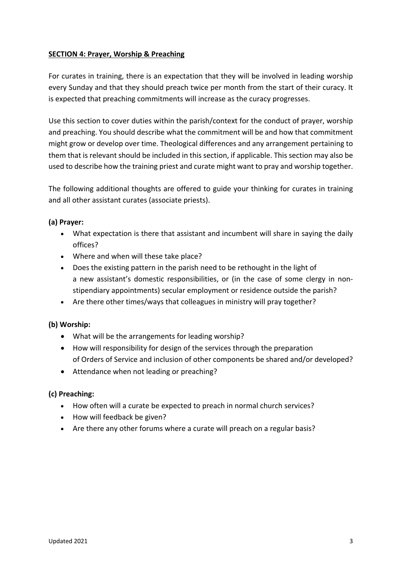# **SECTION 4: Prayer, Worship & Preaching**

For curates in training, there is an expectation that they will be involved in leading worship every Sunday and that they should preach twice per month from the start of their curacy. It is expected that preaching commitments will increase as the curacy progresses.

Use this section to cover duties within the parish/context for the conduct of prayer, worship and preaching. You should describe what the commitment will be and how that commitment might grow or develop over time. Theological differences and any arrangement pertaining to them that is relevant should be included in this section, if applicable. This section may also be used to describe how the training priest and curate might want to pray and worship together.

The following additional thoughts are offered to guide your thinking for curates in training and all other assistant curates (associate priests).

# **(a) Prayer:**

- What expectation is there that assistant and incumbent will share in saying the daily offices?
- Where and when will these take place?
- Does the existing pattern in the parish need to be rethought in the light of a new assistant's domestic responsibilities, or (in the case of some clergy in nonstipendiary appointments) secular employment or residence outside the parish?
- Are there other times/ways that colleagues in ministry will pray together?

# **(b) Worship:**

- What will be the arrangements for leading worship?
- How will responsibility for design of the services through the preparation of Orders of Service and inclusion of other components be shared and/or developed?
- Attendance when not leading or preaching?

## **(c) Preaching:**

- How often will a curate be expected to preach in normal church services?
- How will feedback be given?
- Are there any other forums where a curate will preach on a regular basis?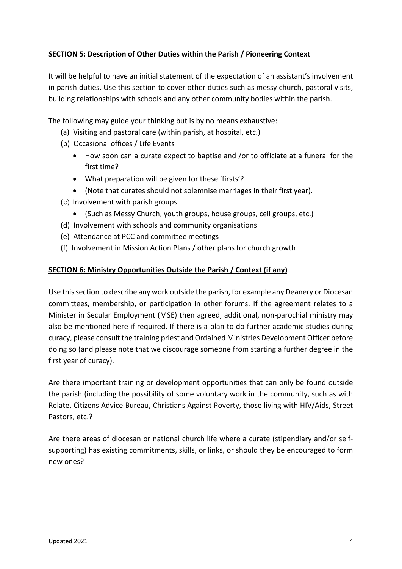# **SECTION 5: Description of Other Duties within the Parish / Pioneering Context**

It will be helpful to have an initial statement of the expectation of an assistant's involvement in parish duties. Use this section to cover other duties such as messy church, pastoral visits, building relationships with schools and any other community bodies within the parish.

The following may guide your thinking but is by no means exhaustive:

- (a) Visiting and pastoral care (within parish, at hospital, etc.)
- (b) Occasional offices / Life Events
	- How soon can a curate expect to baptise and /or to officiate at a funeral for the first time?
	- What preparation will be given for these 'firsts'?
	- (Note that curates should not solemnise marriages in their first year).
- (c) Involvement with parish groups
	- (Such as Messy Church, youth groups, house groups, cell groups, etc.)
- (d) Involvement with schools and community organisations
- (e) Attendance at PCC and committee meetings
- (f) Involvement in Mission Action Plans / other plans for church growth

# **SECTION 6: Ministry Opportunities Outside the Parish / Context (if any)**

Use this section to describe any work outside the parish, for example any Deanery or Diocesan committees, membership, or participation in other forums. If the agreement relates to a Minister in Secular Employment (MSE) then agreed, additional, non-parochial ministry may also be mentioned here if required. If there is a plan to do further academic studies during curacy, please consult the training priest and Ordained Ministries Development Officer before doing so (and please note that we discourage someone from starting a further degree in the first year of curacy).

Are there important training or development opportunities that can only be found outside the parish (including the possibility of some voluntary work in the community, such as with Relate, Citizens Advice Bureau, Christians Against Poverty, those living with HIV/Aids, Street Pastors, etc.?

Are there areas of diocesan or national church life where a curate (stipendiary and/or selfsupporting) has existing commitments, skills, or links, or should they be encouraged to form new ones?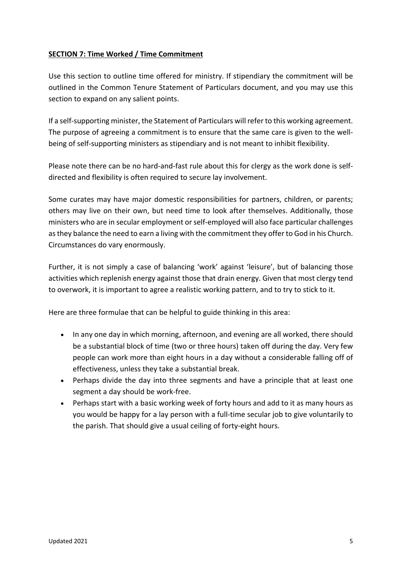# **SECTION 7: Time Worked / Time Commitment**

Use this section to outline time offered for ministry. If stipendiary the commitment will be outlined in the Common Tenure Statement of Particulars document, and you may use this section to expand on any salient points.

If a self-supporting minister, the Statement of Particulars will refer to this working agreement. The purpose of agreeing a commitment is to ensure that the same care is given to the wellbeing of self-supporting ministers as stipendiary and is not meant to inhibit flexibility.

Please note there can be no hard-and-fast rule about this for clergy as the work done is selfdirected and flexibility is often required to secure lay involvement.

Some curates may have major domestic responsibilities for partners, children, or parents; others may live on their own, but need time to look after themselves. Additionally, those ministers who are in secular employment or self-employed will also face particular challenges as they balance the need to earn a living with the commitment they offer to God in his Church. Circumstances do vary enormously.

Further, it is not simply a case of balancing 'work' against 'leisure', but of balancing those activities which replenish energy against those that drain energy. Given that most clergy tend to overwork, it is important to agree a realistic working pattern, and to try to stick to it.

Here are three formulae that can be helpful to guide thinking in this area:

- In any one day in which morning, afternoon, and evening are all worked, there should be a substantial block of time (two or three hours) taken off during the day. Very few people can work more than eight hours in a day without a considerable falling off of effectiveness, unless they take a substantial break.
- Perhaps divide the day into three segments and have a principle that at least one segment a day should be work-free.
- Perhaps start with a basic working week of forty hours and add to it as many hours as you would be happy for a lay person with a full-time secular job to give voluntarily to the parish. That should give a usual ceiling of forty-eight hours.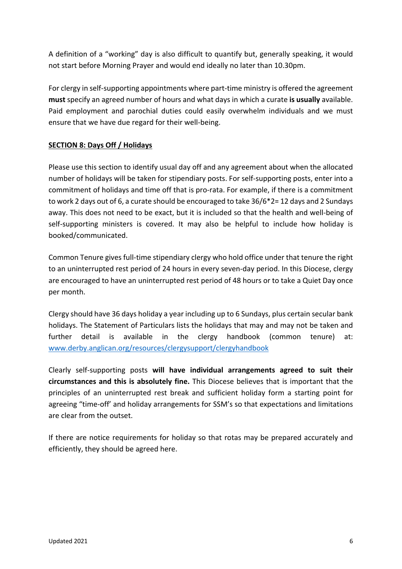A definition of a "working" day is also difficult to quantify but, generally speaking, it would not start before Morning Prayer and would end ideally no later than 10.30pm.

For clergy in self-supporting appointments where part-time ministry is offered the agreement **must** specify an agreed number of hours and what days in which a curate **is usually** available. Paid employment and parochial duties could easily overwhelm individuals and we must ensure that we have due regard for their well-being.

# **SECTION 8: Days Off / Holidays**

Please use this section to identify usual day off and any agreement about when the allocated number of holidays will be taken for stipendiary posts. For self-supporting posts, enter into a commitment of holidays and time off that is pro-rata. For example, if there is a commitment to work 2 days out of 6, a curate should be encouraged to take 36/6\*2= 12 days and 2 Sundays away. This does not need to be exact, but it is included so that the health and well-being of self-supporting ministers is covered. It may also be helpful to include how holiday is booked/communicated.

Common Tenure gives full-time stipendiary clergy who hold office under that tenure the right to an uninterrupted rest period of 24 hours in every seven-day period. In this Diocese, clergy are encouraged to have an uninterrupted rest period of 48 hours or to take a Quiet Day once per month.

Clergy should have 36 days holiday a year including up to 6 Sundays, plus certain secular bank holidays. The Statement of Particulars lists the holidays that may and may not be taken and further detail is available in the clergy handbook (common tenure) at: www.derby.anglican.org/resources/clergysupport/clergyhandbook

Clearly self-supporting posts **will have individual arrangements agreed to suit their circumstances and this is absolutely fine.** This Diocese believes that is important that the principles of an uninterrupted rest break and sufficient holiday form a starting point for agreeing "time-off' and holiday arrangements for SSM's so that expectations and limitations are clear from the outset.

If there are notice requirements for holiday so that rotas may be prepared accurately and efficiently, they should be agreed here.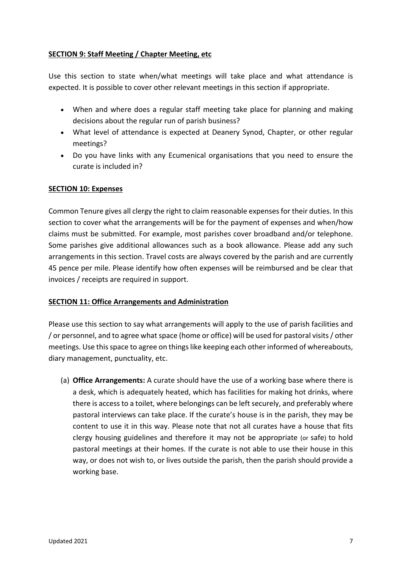# **SECTION 9: Staff Meeting / Chapter Meeting, etc**

Use this section to state when/what meetings will take place and what attendance is expected. It is possible to cover other relevant meetings in this section if appropriate.

- When and where does a regular staff meeting take place for planning and making decisions about the regular run of parish business?
- What level of attendance is expected at Deanery Synod, Chapter, or other regular meetings?
- Do you have links with any Ecumenical organisations that you need to ensure the curate is included in?

## **SECTION 10: Expenses**

Common Tenure gives all clergy the right to claim reasonable expenses for their duties. In this section to cover what the arrangements will be for the payment of expenses and when/how claims must be submitted. For example, most parishes cover broadband and/or telephone. Some parishes give additional allowances such as a book allowance. Please add any such arrangements in this section. Travel costs are always covered by the parish and are currently 45 pence per mile. Please identify how often expenses will be reimbursed and be clear that invoices / receipts are required in support.

## **SECTION 11: Office Arrangements and Administration**

Please use this section to say what arrangements will apply to the use of parish facilities and / or personnel, and to agree what space (home or office) will be used for pastoral visits / other meetings. Use this space to agree on things like keeping each other informed of whereabouts, diary management, punctuality, etc.

(a) **Office Arrangements:** A curate should have the use of a working base where there is a desk, which is adequately heated, which has facilities for making hot drinks, where there is access to a toilet, where belongings can be left securely, and preferably where pastoral interviews can take place. If the curate's house is in the parish, they may be content to use it in this way. Please note that not all curates have a house that fits clergy housing guidelines and therefore it may not be appropriate (or safe) to hold pastoral meetings at their homes. If the curate is not able to use their house in this way, or does not wish to, or lives outside the parish, then the parish should provide a working base.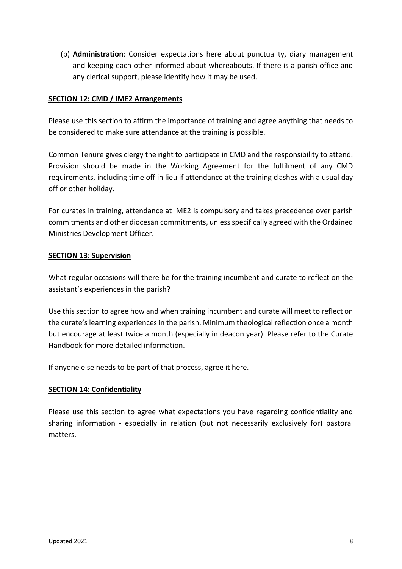(b) **Administration**: Consider expectations here about punctuality, diary management and keeping each other informed about whereabouts. If there is a parish office and any clerical support, please identify how it may be used.

# **SECTION 12: CMD / IME2 Arrangements**

Please use this section to affirm the importance of training and agree anything that needs to be considered to make sure attendance at the training is possible.

Common Tenure gives clergy the right to participate in CMD and the responsibility to attend. Provision should be made in the Working Agreement for the fulfilment of any CMD requirements, including time off in lieu if attendance at the training clashes with a usual day off or other holiday.

For curates in training, attendance at IME2 is compulsory and takes precedence over parish commitments and other diocesan commitments, unless specifically agreed with the Ordained Ministries Development Officer.

## **SECTION 13: Supervision**

What regular occasions will there be for the training incumbent and curate to reflect on the assistant's experiences in the parish?

Use this section to agree how and when training incumbent and curate will meet to reflect on the curate's learning experiences in the parish. Minimum theological reflection once a month but encourage at least twice a month (especially in deacon year). Please refer to the Curate Handbook for more detailed information.

If anyone else needs to be part of that process, agree it here.

# **SECTION 14: Confidentiality**

Please use this section to agree what expectations you have regarding confidentiality and sharing information - especially in relation (but not necessarily exclusively for) pastoral matters.